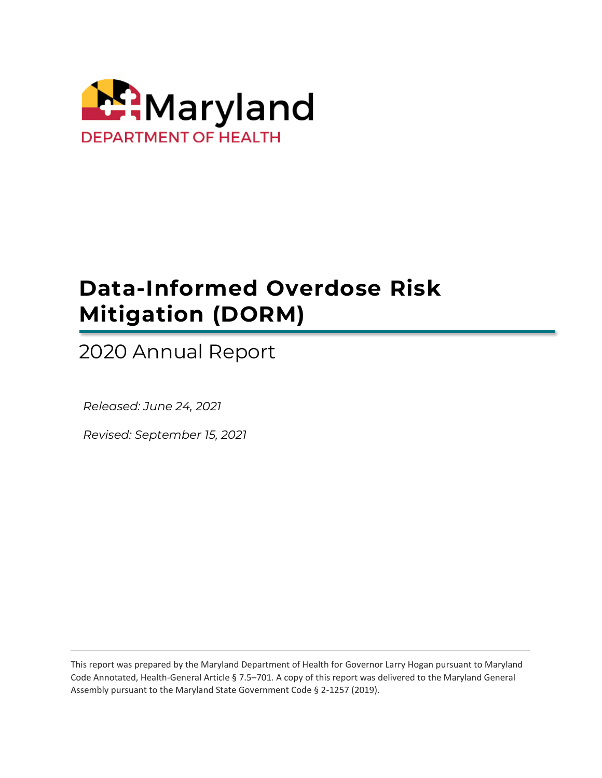

# **Data-Informed Overdose Risk Mitigation (DORM)**

2020 Annual Report

 *Released: June 24, 2021*

 *Revised: September 15, 2021*

This report was prepared by the Maryland Department of Health for Governor Larry Hogan pursuant to Maryland Code Annotated, Health-General Article § 7.5–701. A copy of this report was delivered to the Maryland General Assembly pursuant to the Maryland State Government Code § 2-1257 (2019).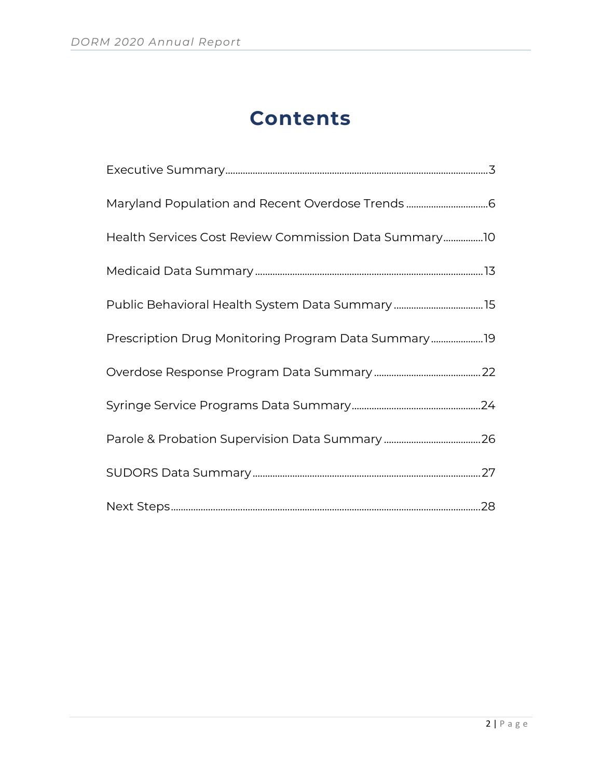# **Contents**

| Maryland Population and Recent Overdose Trends 6      |
|-------------------------------------------------------|
| Health Services Cost Review Commission Data Summary10 |
|                                                       |
|                                                       |
| Prescription Drug Monitoring Program Data Summary19   |
|                                                       |
|                                                       |
|                                                       |
|                                                       |
|                                                       |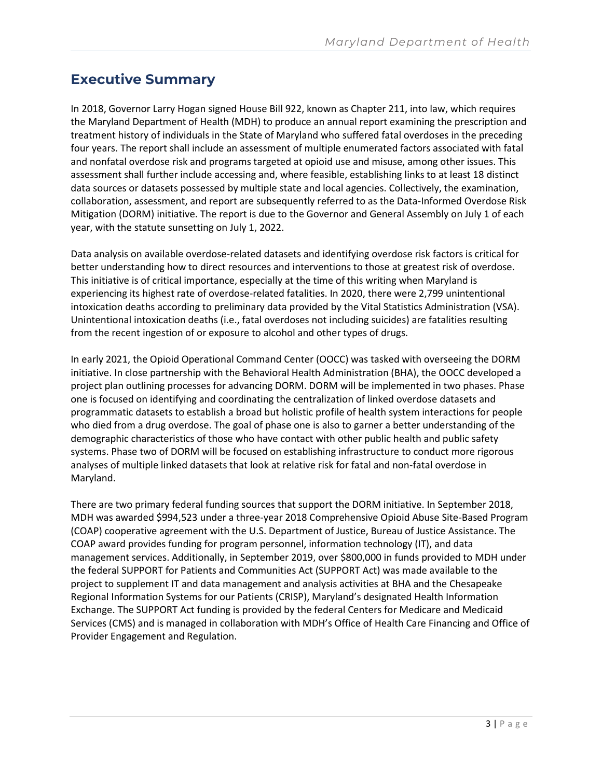# <span id="page-2-0"></span>**Executive Summary**

In 2018, Governor Larry Hogan signed House Bill 922, known as Chapter 211, into law, which requires the Maryland Department of Health (MDH) to produce an annual report examining the prescription and treatment history of individuals in the State of Maryland who suffered fatal overdoses in the preceding four years. The report shall include an assessment of multiple enumerated factors associated with fatal and nonfatal overdose risk and programs targeted at opioid use and misuse, among other issues. This assessment shall further include accessing and, where feasible, establishing links to at least 18 distinct data sources or datasets possessed by multiple state and local agencies. Collectively, the examination, collaboration, assessment, and report are subsequently referred to as the Data-Informed Overdose Risk Mitigation (DORM) initiative. The report is due to the Governor and General Assembly on July 1 of each year, with the statute sunsetting on July 1, 2022.

Data analysis on available overdose-related datasets and identifying overdose risk factors is critical for better understanding how to direct resources and interventions to those at greatest risk of overdose. This initiative is of critical importance, especially at the time of this writing when Maryland is experiencing its highest rate of overdose-related fatalities. In 2020, there were 2,799 unintentional intoxication deaths according to preliminary data provided by the Vital Statistics Administration (VSA). Unintentional intoxication deaths (i.e., fatal overdoses not including suicides) are fatalities resulting from the recent ingestion of or exposure to alcohol and other types of drugs.

In early 2021, the Opioid Operational Command Center (OOCC) was tasked with overseeing the DORM initiative. In close partnership with the Behavioral Health Administration (BHA), the OOCC developed a project plan outlining processes for advancing DORM. DORM will be implemented in two phases. Phase one is focused on identifying and coordinating the centralization of linked overdose datasets and programmatic datasets to establish a broad but holistic profile of health system interactions for people who died from a drug overdose. The goal of phase one is also to garner a better understanding of the demographic characteristics of those who have contact with other public health and public safety systems. Phase two of DORM will be focused on establishing infrastructure to conduct more rigorous analyses of multiple linked datasets that look at relative risk for fatal and non-fatal overdose in Maryland.

There are two primary federal funding sources that support the DORM initiative. In September 2018, MDH was awarded \$994,523 under a three-year 2018 Comprehensive Opioid Abuse Site-Based Program (COAP) cooperative agreement with the U.S. Department of Justice, Bureau of Justice Assistance. The COAP award provides funding for program personnel, information technology (IT), and data management services. Additionally, in September 2019, over \$800,000 in funds provided to MDH under the federal SUPPORT for Patients and Communities Act (SUPPORT Act) was made available to the project to supplement IT and data management and analysis activities at BHA and the Chesapeake Regional Information Systems for our Patients (CRISP), Maryland's designated Health Information Exchange. The SUPPORT Act funding is provided by the federal Centers for Medicare and Medicaid Services (CMS) and is managed in collaboration with MDH's Office of Health Care Financing and Office of Provider Engagement and Regulation.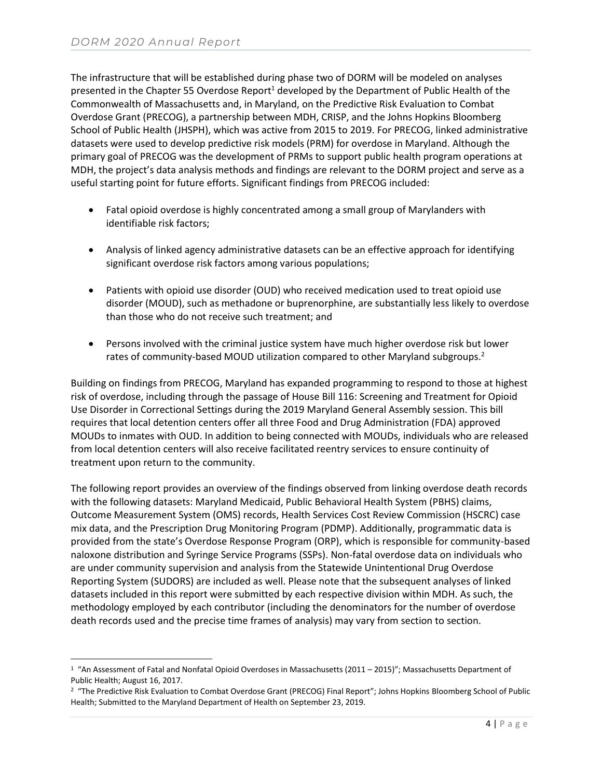The infrastructure that will be established during phase two of DORM will be modeled on analyses presented in the Chapter 55 Overdose Report<sup>1</sup> developed by the Department of Public Health of the Commonwealth of Massachusetts and, in Maryland, on the Predictive Risk Evaluation to Combat Overdose Grant (PRECOG), a partnership between MDH, CRISP, and the Johns Hopkins Bloomberg School of Public Health (JHSPH), which was active from 2015 to 2019. For PRECOG, linked administrative datasets were used to develop predictive risk models (PRM) for overdose in Maryland. Although the primary goal of PRECOG was the development of PRMs to support public health program operations at MDH, the project's data analysis methods and findings are relevant to the DORM project and serve as a useful starting point for future efforts. Significant findings from PRECOG included:

- Fatal opioid overdose is highly concentrated among a small group of Marylanders with identifiable risk factors;
- Analysis of linked agency administrative datasets can be an effective approach for identifying significant overdose risk factors among various populations;
- Patients with opioid use disorder (OUD) who received medication used to treat opioid use disorder (MOUD), such as methadone or buprenorphine, are substantially less likely to overdose than those who do not receive such treatment; and
- Persons involved with the criminal justice system have much higher overdose risk but lower rates of community-based MOUD utilization compared to other Maryland subgroups.<sup>2</sup>

Building on findings from PRECOG, Maryland has expanded programming to respond to those at highest risk of overdose, including through the passage of House Bill 116: Screening and Treatment for Opioid Use Disorder in Correctional Settings during the 2019 Maryland General Assembly session. This bill requires that local detention centers offer all three Food and Drug Administration (FDA) approved MOUDs to inmates with OUD. In addition to being connected with MOUDs, individuals who are released from local detention centers will also receive facilitated reentry services to ensure continuity of treatment upon return to the community.

The following report provides an overview of the findings observed from linking overdose death records with the following datasets: Maryland Medicaid, Public Behavioral Health System (PBHS) claims, Outcome Measurement System (OMS) records, Health Services Cost Review Commission (HSCRC) case mix data, and the Prescription Drug Monitoring Program (PDMP). Additionally, programmatic data is provided from the state's Overdose Response Program (ORP), which is responsible for community-based naloxone distribution and Syringe Service Programs (SSPs). Non-fatal overdose data on individuals who are under community supervision and analysis from the Statewide Unintentional Drug Overdose Reporting System (SUDORS) are included as well. Please note that the subsequent analyses of linked datasets included in this report were submitted by each respective division within MDH. As such, the methodology employed by each contributor (including the denominators for the number of overdose death records used and the precise time frames of analysis) may vary from section to section.

 $^{\rm 1}$  "An Assessment of Fatal and Nonfatal Opioid Overdoses in Massachusetts (2011 – 2015)"; Massachusetts Department of Public Health; August 16, 2017.

<sup>&</sup>lt;sup>2</sup> "The Predictive Risk Evaluation to Combat Overdose Grant (PRECOG) Final Report"; Johns Hopkins Bloomberg School of Public Health; Submitted to the Maryland Department of Health on September 23, 2019.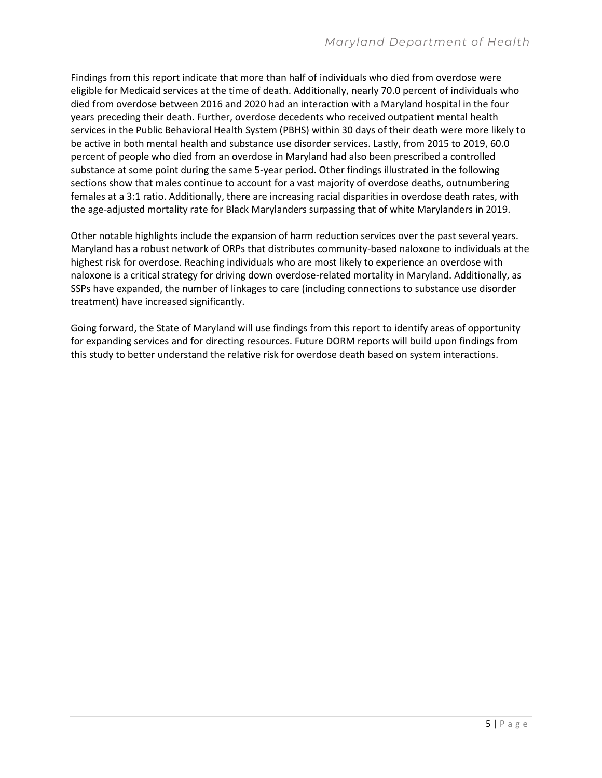Findings from this report indicate that more than half of individuals who died from overdose were eligible for Medicaid services at the time of death. Additionally, nearly 70.0 percent of individuals who died from overdose between 2016 and 2020 had an interaction with a Maryland hospital in the four years preceding their death. Further, overdose decedents who received outpatient mental health services in the Public Behavioral Health System (PBHS) within 30 days of their death were more likely to be active in both mental health and substance use disorder services. Lastly, from 2015 to 2019, 60.0 percent of people who died from an overdose in Maryland had also been prescribed a controlled substance at some point during the same 5-year period. Other findings illustrated in the following sections show that males continue to account for a vast majority of overdose deaths, outnumbering females at a 3:1 ratio. Additionally, there are increasing racial disparities in overdose death rates, with the age-adjusted mortality rate for Black Marylanders surpassing that of white Marylanders in 2019.

Other notable highlights include the expansion of harm reduction services over the past several years. Maryland has a robust network of ORPs that distributes community-based naloxone to individuals at the highest risk for overdose. Reaching individuals who are most likely to experience an overdose with naloxone is a critical strategy for driving down overdose-related mortality in Maryland. Additionally, as SSPs have expanded, the number of linkages to care (including connections to substance use disorder treatment) have increased significantly.

Going forward, the State of Maryland will use findings from this report to identify areas of opportunity for expanding services and for directing resources. Future DORM reports will build upon findings from this study to better understand the relative risk for overdose death based on system interactions.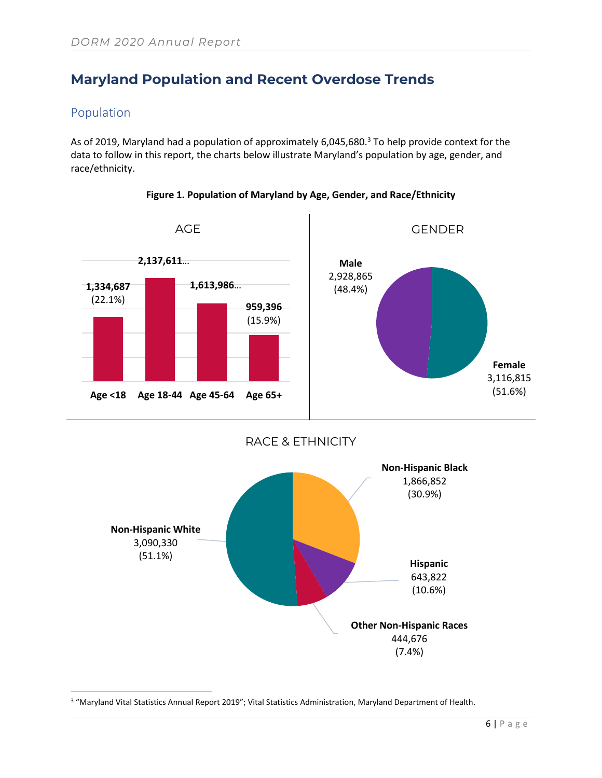# <span id="page-5-0"></span>**Maryland Population and Recent Overdose Trends**

### Population

As of 2019, Maryland had a population of approximately 6,045,680.<sup>3</sup> To help provide context for the data to follow in this report, the charts below illustrate Maryland's population by age, gender, and race/ethnicity.



**Figure 1. Population of Maryland by Age, Gender, and Race/Ethnicity**





<sup>&</sup>lt;sup>3</sup> "Maryland Vital Statistics Annual Report 2019"; Vital Statistics Administration, Maryland Department of Health.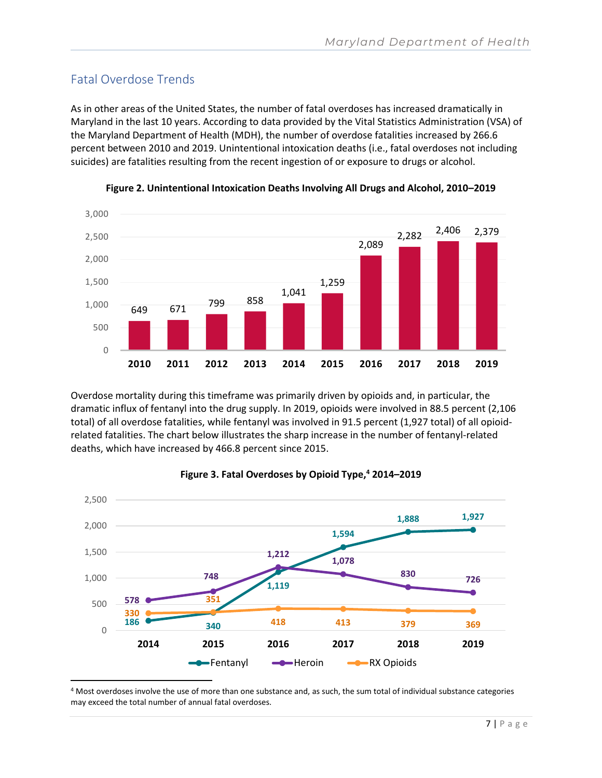### Fatal Overdose Trends

As in other areas of the United States, the number of fatal overdoses has increased dramatically in Maryland in the last 10 years. According to data provided by the Vital Statistics Administration (VSA) of the Maryland Department of Health (MDH), the number of overdose fatalities increased by 266.6 percent between 2010 and 2019. Unintentional intoxication deaths (i.e., fatal overdoses not including suicides) are fatalities resulting from the recent ingestion of or exposure to drugs or alcohol.





Overdose mortality during this timeframe was primarily driven by opioids and, in particular, the dramatic influx of fentanyl into the drug supply. In 2019, opioids were involved in 88.5 percent (2,106 total) of all overdose fatalities, while fentanyl was involved in 91.5 percent (1,927 total) of all opioidrelated fatalities. The chart below illustrates the sharp increase in the number of fentanyl-related deaths, which have increased by 466.8 percent since 2015.



#### **Figure 3. Fatal Overdoses by Opioid Type,<sup>4</sup> 2014–2019**

<sup>4</sup> Most overdoses involve the use of more than one substance and, as such, the sum total of individual substance categories may exceed the total number of annual fatal overdoses.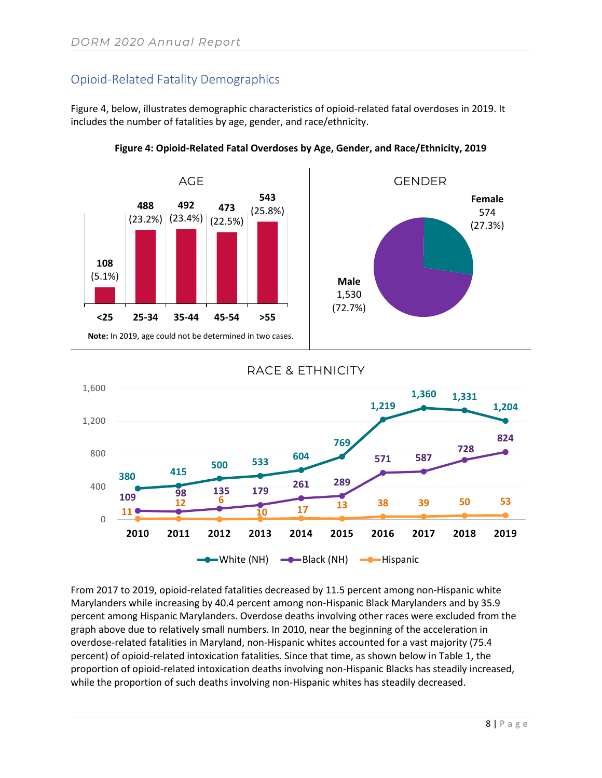### Opioid-Related Fatality Demographics

Figure 4, below, illustrates demographic characteristics of opioid-related fatal overdoses in 2019. It includes the number of fatalities by age, gender, and race/ethnicity.



1,200

1,600





# **769 1,219 1,360 1,331**

RACE & ETHNICITY



From 2017 to 2019, opioid-related fatalities decreased by 11.5 percent among non-Hispanic white Marylanders while increasing by 40.4 percent among non-Hispanic Black Marylanders and by 35.9 percent among Hispanic Marylanders. Overdose deaths involving other races were excluded from the graph above due to relatively small numbers. In 2010, near the beginning of the acceleration in overdose-related fatalities in Maryland, non-Hispanic whites accounted for a vast majority (75.4 percent) of opioid-related intoxication fatalities. Since that time, as shown below in Table 1, the proportion of opioid-related intoxication deaths involving non-Hispanic Blacks has steadily increased, while the proportion of such deaths involving non-Hispanic whites has steadily decreased.

**1,204**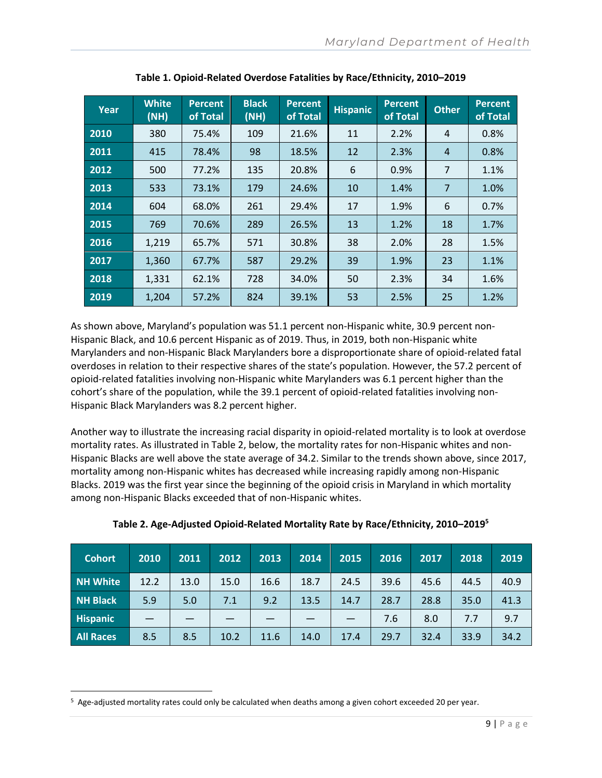| Year | <b>White</b><br>(NH) | <b>Percent</b><br>of Total | <b>Black</b><br>(NH) | <b>Percent</b><br>of Total | <b>Hispanic</b> | <b>Percent</b><br>of Total | <b>Other</b>   | <b>Percent</b><br>of Total |
|------|----------------------|----------------------------|----------------------|----------------------------|-----------------|----------------------------|----------------|----------------------------|
| 2010 | 380                  | 75.4%                      | 109                  | 21.6%                      | 11              | 2.2%                       | 4              | 0.8%                       |
| 2011 | 415                  | 78.4%                      | 98                   | 18.5%                      | 12              | 2.3%                       | $\overline{4}$ | 0.8%                       |
| 2012 | 500                  | 77.2%                      | 135                  | 20.8%                      | 6               | 0.9%                       | 7              | 1.1%                       |
| 2013 | 533                  | 73.1%                      | 179                  | 24.6%                      | 10              | 1.4%                       | 7              | 1.0%                       |
| 2014 | 604                  | 68.0%                      | 261                  | 29.4%                      | 17              | 1.9%                       | 6              | 0.7%                       |
| 2015 | 769                  | 70.6%                      | 289                  | 26.5%                      | 13              | 1.2%                       | 18             | 1.7%                       |
| 2016 | 1,219                | 65.7%                      | 571                  | 30.8%                      | 38              | 2.0%                       | 28             | 1.5%                       |
| 2017 | 1,360                | 67.7%                      | 587                  | 29.2%                      | 39              | 1.9%                       | 23             | 1.1%                       |
| 2018 | 1,331                | 62.1%                      | 728                  | 34.0%                      | 50              | 2.3%                       | 34             | 1.6%                       |
| 2019 | 1,204                | 57.2%                      | 824                  | 39.1%                      | 53              | 2.5%                       | 25             | 1.2%                       |

**Table 1. Opioid-Related Overdose Fatalities by Race/Ethnicity, 2010–2019**

As shown above, Maryland's population was 51.1 percent non-Hispanic white, 30.9 percent non-Hispanic Black, and 10.6 percent Hispanic as of 2019. Thus, in 2019, both non-Hispanic white Marylanders and non-Hispanic Black Marylanders bore a disproportionate share of opioid-related fatal overdoses in relation to their respective shares of the state's population. However, the 57.2 percent of opioid-related fatalities involving non-Hispanic white Marylanders was 6.1 percent higher than the cohort's share of the population, while the 39.1 percent of opioid-related fatalities involving non-Hispanic Black Marylanders was 8.2 percent higher.

Another way to illustrate the increasing racial disparity in opioid-related mortality is to look at overdose mortality rates. As illustrated in Table 2, below, the mortality rates for non-Hispanic whites and non-Hispanic Blacks are well above the state average of 34.2. Similar to the trends shown above, since 2017, mortality among non-Hispanic whites has decreased while increasing rapidly among non-Hispanic Blacks. 2019 was the first year since the beginning of the opioid crisis in Maryland in which mortality among non-Hispanic Blacks exceeded that of non-Hispanic whites.

| <b>Cohort</b>    | 2010 | 2011 | 2012 | 2013 | 2014 | 2015 | 2016 | 2017 | 2018 | 2019 |
|------------------|------|------|------|------|------|------|------|------|------|------|
| <b>NH White</b>  | 12.2 | 13.0 | 15.0 | 16.6 | 18.7 | 24.5 | 39.6 | 45.6 | 44.5 | 40.9 |
| NH Black         | 5.9  | 5.0  | 7.1  | 9.2  | 13.5 | 14.7 | 28.7 | 28.8 | 35.0 | 41.3 |
| <b>Hispanic</b>  |      |      |      |      |      |      | 7.6  | 8.0  | 7.7  | 9.7  |
| <b>All Races</b> | 8.5  | 8.5  | 10.2 | 11.6 | 14.0 | 17.4 | 29.7 | 32.4 | 33.9 | 34.2 |

**Table 2. Age-Adjusted Opioid-Related Mortality Rate by Race/Ethnicity, 2010–2019<sup>5</sup>**

<sup>5</sup> Age-adjusted mortality rates could only be calculated when deaths among a given cohort exceeded 20 per year.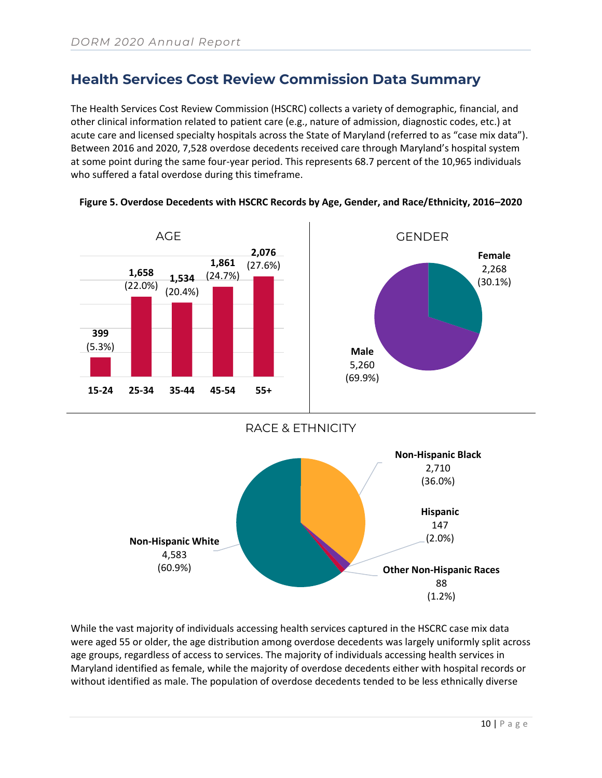### <span id="page-9-0"></span>**Health Services Cost Review Commission Data Summary**

The Health Services Cost Review Commission (HSCRC) collects a variety of demographic, financial, and other clinical information related to patient care (e.g., nature of admission, diagnostic codes, etc.) at acute care and licensed specialty hospitals across the State of Maryland (referred to as "case mix data"). Between 2016 and 2020, 7,528 overdose decedents received care through Maryland's hospital system at some point during the same four-year period. This represents 68.7 percent of the 10,965 individuals who suffered a fatal overdose during this timeframe.





RACE & ETHNICITY



While the vast majority of individuals accessing health services captured in the HSCRC case mix data were aged 55 or older, the age distribution among overdose decedents was largely uniformly split across age groups, regardless of access to services. The majority of individuals accessing health services in Maryland identified as female, while the majority of overdose decedents either with hospital records or without identified as male. The population of overdose decedents tended to be less ethnically diverse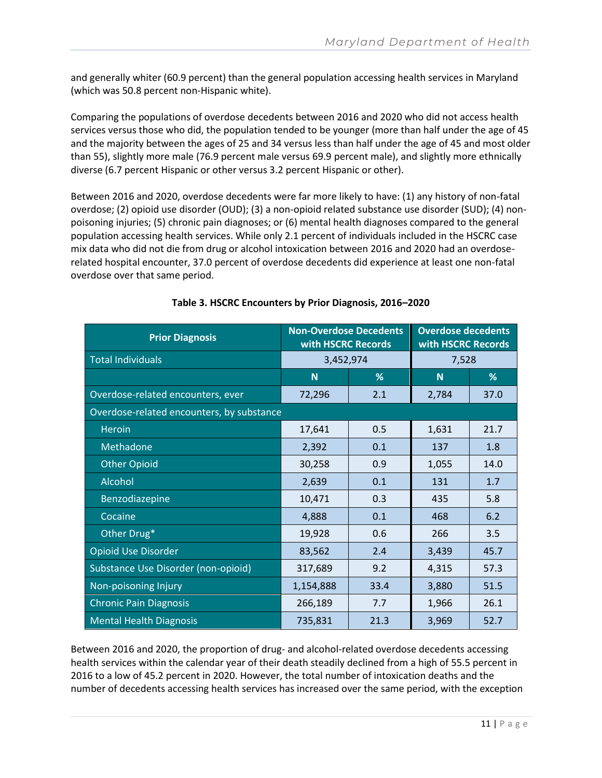and generally whiter (60.9 percent) than the general population accessing health services in Maryland (which was 50.8 percent non-Hispanic white).

Comparing the populations of overdose decedents between 2016 and 2020 who did not access health services versus those who did, the population tended to be younger (more than half under the age of 45 and the majority between the ages of 25 and 34 versus less than half under the age of 45 and most older than 55), slightly more male (76.9 percent male versus 69.9 percent male), and slightly more ethnically diverse (6.7 percent Hispanic or other versus 3.2 percent Hispanic or other).

Between 2016 and 2020, overdose decedents were far more likely to have: (1) any history of non-fatal overdose; (2) opioid use disorder (OUD); (3) a non-opioid related substance use disorder (SUD); (4) nonpoisoning injuries; (5) chronic pain diagnoses; or (6) mental health diagnoses compared to the general population accessing health services. While only 2.1 percent of individuals included in the HSCRC case mix data who did not die from drug or alcohol intoxication between 2016 and 2020 had an overdoserelated hospital encounter, 37.0 percent of overdose decedents did experience at least one non-fatal overdose over that same period.

| <b>Prior Diagnosis</b>                    | <b>Non-Overdose Decedents</b><br>with HSCRC Records |      | <b>Overdose decedents</b><br>with HSCRC Records |      |
|-------------------------------------------|-----------------------------------------------------|------|-------------------------------------------------|------|
| <b>Total Individuals</b>                  | 3,452,974                                           |      | 7,528                                           |      |
|                                           | <b>N</b>                                            | %    | N                                               | %    |
| Overdose-related encounters, ever         | 72,296                                              | 2.1  | 2,784                                           | 37.0 |
| Overdose-related encounters, by substance |                                                     |      |                                                 |      |
| <b>Heroin</b>                             | 17,641                                              | 0.5  | 1,631                                           | 21.7 |
| Methadone                                 | 2,392                                               | 0.1  | 137                                             | 1.8  |
| <b>Other Opioid</b>                       | 30,258                                              | 0.9  | 1,055                                           | 14.0 |
| Alcohol                                   | 2,639                                               | 0.1  | 131                                             | 1.7  |
| Benzodiazepine                            | 10,471                                              | 0.3  | 435                                             | 5.8  |
| Cocaine                                   | 4,888                                               | 0.1  | 468                                             | 6.2  |
| Other Drug*                               | 19,928                                              | 0.6  | 266                                             | 3.5  |
| <b>Opioid Use Disorder</b>                | 83,562                                              | 2.4  | 3,439                                           | 45.7 |
| Substance Use Disorder (non-opioid)       | 317,689                                             | 9.2  | 4,315                                           | 57.3 |
| Non-poisoning Injury                      | 1,154,888                                           | 33.4 | 3,880                                           | 51.5 |
| <b>Chronic Pain Diagnosis</b>             | 266,189                                             | 7.7  | 1,966                                           | 26.1 |
| <b>Mental Health Diagnosis</b>            | 735,831                                             | 21.3 | 3,969                                           | 52.7 |

#### **Table 3. HSCRC Encounters by Prior Diagnosis, 2016–2020**

Between 2016 and 2020, the proportion of drug- and alcohol-related overdose decedents accessing health services within the calendar year of their death steadily declined from a high of 55.5 percent in 2016 to a low of 45.2 percent in 2020. However, the total number of intoxication deaths and the number of decedents accessing health services has increased over the same period, with the exception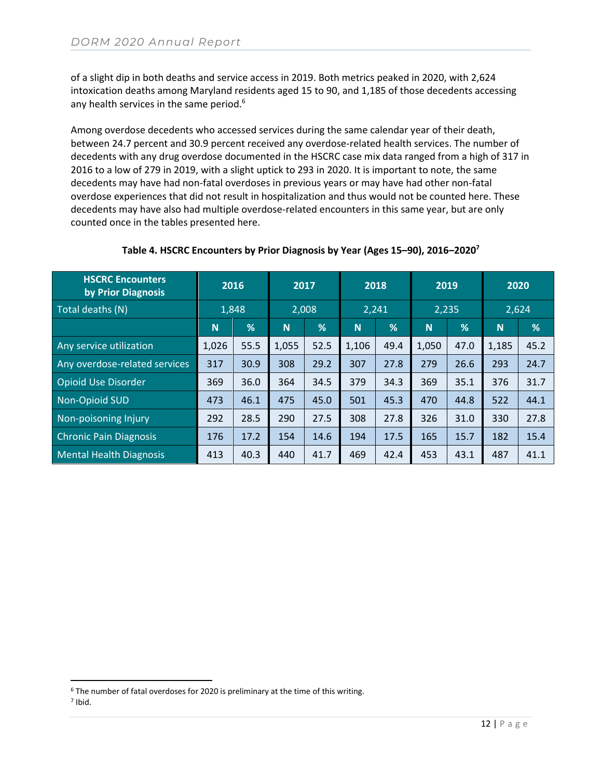of a slight dip in both deaths and service access in 2019. Both metrics peaked in 2020, with 2,624 intoxication deaths among Maryland residents aged 15 to 90, and 1,185 of those decedents accessing any health services in the same period.<sup>6</sup>

Among overdose decedents who accessed services during the same calendar year of their death, between 24.7 percent and 30.9 percent received any overdose-related health services. The number of decedents with any drug overdose documented in the HSCRC case mix data ranged from a high of 317 in 2016 to a low of 279 in 2019, with a slight uptick to 293 in 2020. It is important to note, the same decedents may have had non-fatal overdoses in previous years or may have had other non-fatal overdose experiences that did not result in hospitalization and thus would not be counted here. These decedents may have also had multiple overdose-related encounters in this same year, but are only counted once in the tables presented here.

| <b>HSCRC Encounters</b><br>by Prior Diagnosis | 2016     |      | 2017  |      | 2018  |      | 2019  |      | 2020     |      |
|-----------------------------------------------|----------|------|-------|------|-------|------|-------|------|----------|------|
| Total deaths (N)                              | 1,848    |      | 2,008 |      | 2,241 |      | 2,235 |      | 2,624    |      |
|                                               | <b>N</b> | %    | N     | %    | N     | %    | N     | %    | <b>N</b> | %    |
| Any service utilization                       | 1,026    | 55.5 | 1,055 | 52.5 | 1,106 | 49.4 | 1,050 | 47.0 | 1,185    | 45.2 |
| Any overdose-related services                 | 317      | 30.9 | 308   | 29.2 | 307   | 27.8 | 279   | 26.6 | 293      | 24.7 |
| <b>Opioid Use Disorder</b>                    | 369      | 36.0 | 364   | 34.5 | 379   | 34.3 | 369   | 35.1 | 376      | 31.7 |
| Non-Opioid SUD                                | 473      | 46.1 | 475   | 45.0 | 501   | 45.3 | 470   | 44.8 | 522      | 44.1 |
| Non-poisoning Injury                          | 292      | 28.5 | 290   | 27.5 | 308   | 27.8 | 326   | 31.0 | 330      | 27.8 |
| <b>Chronic Pain Diagnosis</b>                 | 176      | 17.2 | 154   | 14.6 | 194   | 17.5 | 165   | 15.7 | 182      | 15.4 |
| <b>Mental Health Diagnosis</b>                | 413      | 40.3 | 440   | 41.7 | 469   | 42.4 | 453   | 43.1 | 487      | 41.1 |

#### **Table 4. HSCRC Encounters by Prior Diagnosis by Year (Ages 15–90), 2016–2020<sup>7</sup>**

<sup>6</sup> The number of fatal overdoses for 2020 is preliminary at the time of this writing.

<sup>7</sup> Ibid.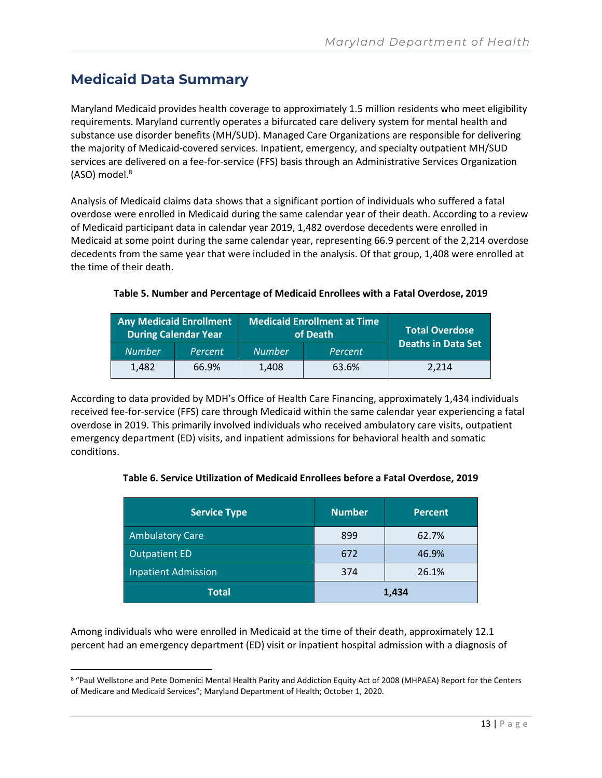# <span id="page-12-0"></span>**Medicaid Data Summary**

Maryland Medicaid provides health coverage to approximately 1.5 million residents who meet eligibility requirements. Maryland currently operates a bifurcated care delivery system for mental health and substance use disorder benefits (MH/SUD). Managed Care Organizations are responsible for delivering the majority of Medicaid-covered services. Inpatient, emergency, and specialty outpatient MH/SUD services are delivered on a fee-for-service (FFS) basis through an Administrative Services Organization (ASO) model. 8

Analysis of Medicaid claims data shows that a significant portion of individuals who suffered a fatal overdose were enrolled in Medicaid during the same calendar year of their death. According to a review of Medicaid participant data in calendar year 2019, 1,482 overdose decedents were enrolled in Medicaid at some point during the same calendar year, representing 66.9 percent of the 2,214 overdose decedents from the same year that were included in the analysis. Of that group, 1,408 were enrolled at the time of their death.

#### **Table 5. Number and Percentage of Medicaid Enrollees with a Fatal Overdose, 2019**

| <b>Any Medicaid Enrollment</b> | During Calendar Year |               | Medicaid Enrollment at Time<br>of Death | <b>Total Overdose</b>     |  |
|--------------------------------|----------------------|---------------|-----------------------------------------|---------------------------|--|
| <b>Number</b>                  | Percent              | <b>Number</b> | Percent                                 | <b>Deaths in Data Set</b> |  |
| 1.482                          | 66.9%                | 1.408         | 63.6%                                   | 2.214                     |  |

According to data provided by MDH's Office of Health Care Financing, approximately 1,434 individuals received fee-for-service (FFS) care through Medicaid within the same calendar year experiencing a fatal overdose in 2019. This primarily involved individuals who received ambulatory care visits, outpatient emergency department (ED) visits, and inpatient admissions for behavioral health and somatic conditions.

#### **Table 6. Service Utilization of Medicaid Enrollees before a Fatal Overdose, 2019**

| <b>Service Type</b>        | <b>Number</b> | <b>Percent</b> |
|----------------------------|---------------|----------------|
| <b>Ambulatory Care</b>     | 899           | 62.7%          |
| <b>Outpatient ED</b>       | 672           | 46.9%          |
| <b>Inpatient Admission</b> | 374           | 26.1%          |
| <b>Total</b>               |               | 1,434          |

Among individuals who were enrolled in Medicaid at the time of their death, approximately 12.1 percent had an emergency department (ED) visit or inpatient hospital admission with a diagnosis of

<sup>8 &</sup>quot;Paul Wellstone and Pete Domenici Mental Health Parity and Addiction Equity Act of 2008 (MHPAEA) Report for the Centers of Medicare and Medicaid Services"; Maryland Department of Health; October 1, 2020.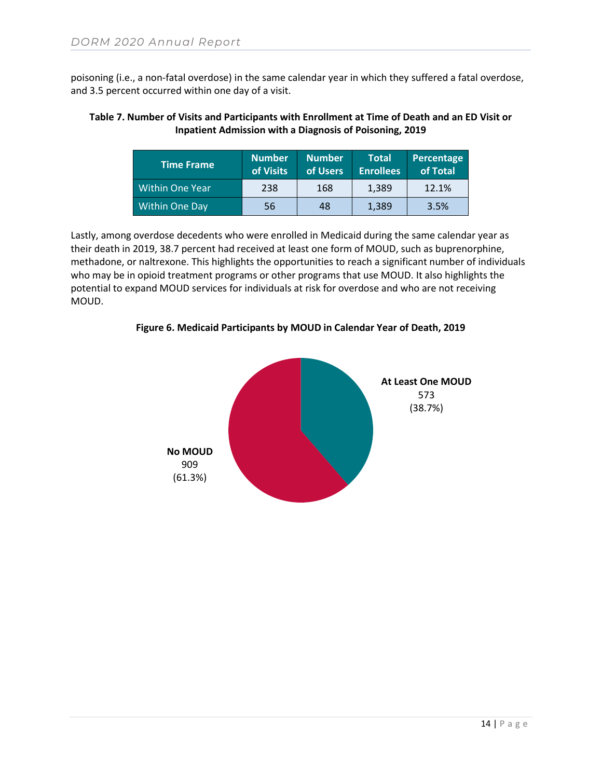poisoning (i.e., a non-fatal overdose) in the same calendar year in which they suffered a fatal overdose, and 3.5 percent occurred within one day of a visit.

#### **Table 7. Number of Visits and Participants with Enrollment at Time of Death and an ED Visit or Inpatient Admission with a Diagnosis of Poisoning, 2019**

| <b>Time Frame</b> | <b>Number</b><br>of Visits | <b>Number</b><br>of Users | <b>Total</b><br><b>Enrollees</b> | Percentage<br>of Total |
|-------------------|----------------------------|---------------------------|----------------------------------|------------------------|
| Within One Year   | 238                        | 168                       | 1.389                            | 12.1%                  |
| Within One Day    | 56                         | 48                        | 1,389                            | 3.5%                   |

Lastly, among overdose decedents who were enrolled in Medicaid during the same calendar year as their death in 2019, 38.7 percent had received at least one form of MOUD, such as buprenorphine, methadone, or naltrexone. This highlights the opportunities to reach a significant number of individuals who may be in opioid treatment programs or other programs that use MOUD. It also highlights the potential to expand MOUD services for individuals at risk for overdose and who are not receiving MOUD.

**Figure 6. Medicaid Participants by MOUD in Calendar Year of Death, 2019**

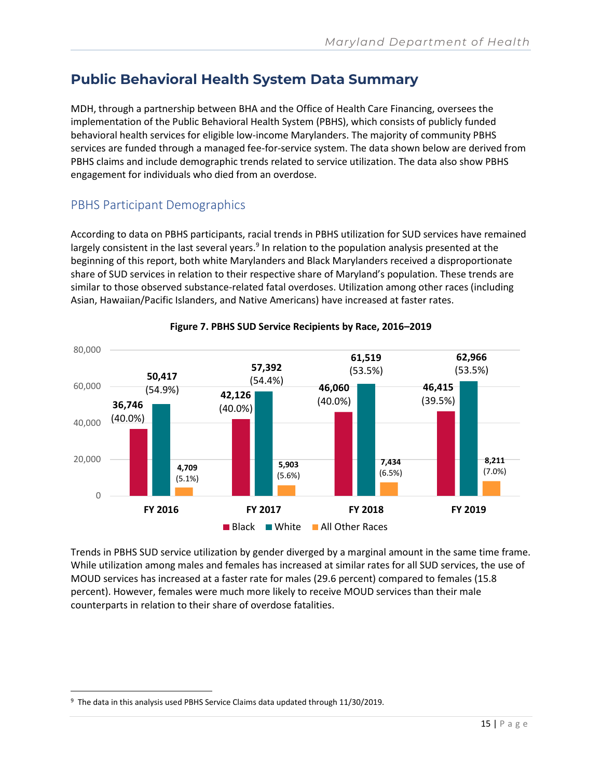## <span id="page-14-0"></span>**Public Behavioral Health System Data Summary**

MDH, through a partnership between BHA and the Office of Health Care Financing, oversees the implementation of the Public Behavioral Health System (PBHS), which consists of publicly funded behavioral health services for eligible low-income Marylanders. The majority of community PBHS services are funded through a managed fee-for-service system. The data shown below are derived from PBHS claims and include demographic trends related to service utilization. The data also show PBHS engagement for individuals who died from an overdose.

### PBHS Participant Demographics

According to data on PBHS participants, racial trends in PBHS utilization for SUD services have remained largely consistent in the last several years.<sup>9</sup> In relation to the population analysis presented at the beginning of this report, both white Marylanders and Black Marylanders received a disproportionate share of SUD services in relation to their respective share of Maryland's population. These trends are similar to those observed substance-related fatal overdoses. Utilization among other races (including Asian, Hawaiian/Pacific Islanders, and Native Americans) have increased at faster rates.



#### **Figure 7. PBHS SUD Service Recipients by Race, 2016–2019**

Trends in PBHS SUD service utilization by gender diverged by a marginal amount in the same time frame. While utilization among males and females has increased at similar rates for all SUD services, the use of MOUD services has increased at a faster rate for males (29.6 percent) compared to females (15.8 percent). However, females were much more likely to receive MOUD services than their male counterparts in relation to their share of overdose fatalities.

<sup>&</sup>lt;sup>9</sup> The data in this analysis used PBHS Service Claims data updated through 11/30/2019.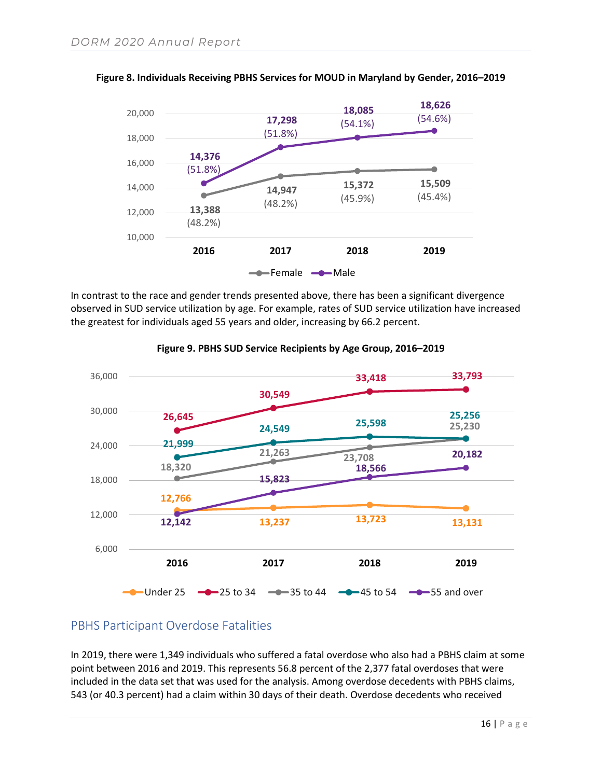

#### **Figure 8. Individuals Receiving PBHS Services for MOUD in Maryland by Gender, 2016–2019**

In contrast to the race and gender trends presented above, there has been a significant divergence observed in SUD service utilization by age. For example, rates of SUD service utilization have increased the greatest for individuals aged 55 years and older, increasing by 66.2 percent.



#### **Figure 9. PBHS SUD Service Recipients by Age Group, 2016–2019**

#### PBHS Participant Overdose Fatalities

In 2019, there were 1,349 individuals who suffered a fatal overdose who also had a PBHS claim at some point between 2016 and 2019. This represents 56.8 percent of the 2,377 fatal overdoses that were included in the data set that was used for the analysis. Among overdose decedents with PBHS claims, 543 (or 40.3 percent) had a claim within 30 days of their death. Overdose decedents who received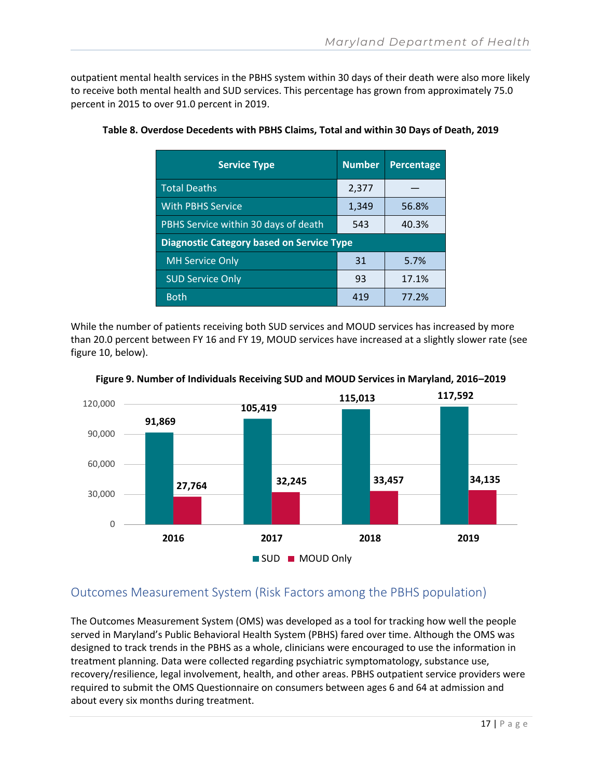outpatient mental health services in the PBHS system within 30 days of their death were also more likely to receive both mental health and SUD services. This percentage has grown from approximately 75.0 percent in 2015 to over 91.0 percent in 2019.

| <b>Service Type</b>                              | <b>Number</b> | <b>Percentage</b> |
|--------------------------------------------------|---------------|-------------------|
| <b>Total Deaths</b>                              | 2,377         |                   |
| <b>With PBHS Service</b>                         | 1,349         | 56.8%             |
| PBHS Service within 30 days of death             | 543           | 40.3%             |
| <b>Diagnostic Category based on Service Type</b> |               |                   |
| <b>MH Service Only</b>                           | 31            | 5.7%              |
| <b>SUD Service Only</b>                          | 93            | 17.1%             |
| <b>Both</b>                                      | 419           | 77.2%             |

#### **Table 8. Overdose Decedents with PBHS Claims, Total and within 30 Days of Death, 2019**

While the number of patients receiving both SUD services and MOUD services has increased by more than 20.0 percent between FY 16 and FY 19, MOUD services have increased at a slightly slower rate (see figure 10, below).



**Figure 9. Number of Individuals Receiving SUD and MOUD Services in Maryland, 2016–2019**

### Outcomes Measurement System (Risk Factors among the PBHS population)

The Outcomes Measurement System (OMS) was developed as a tool for tracking how well the people served in Maryland's Public Behavioral Health System (PBHS) fared over time. Although the OMS was designed to track trends in the PBHS as a whole, clinicians were encouraged to use the information in treatment planning. Data were collected regarding psychiatric symptomatology, substance use, recovery/resilience, legal involvement, health, and other areas. PBHS outpatient service providers were required to submit the OMS Questionnaire on consumers between ages 6 and 64 at admission and about every six months during treatment.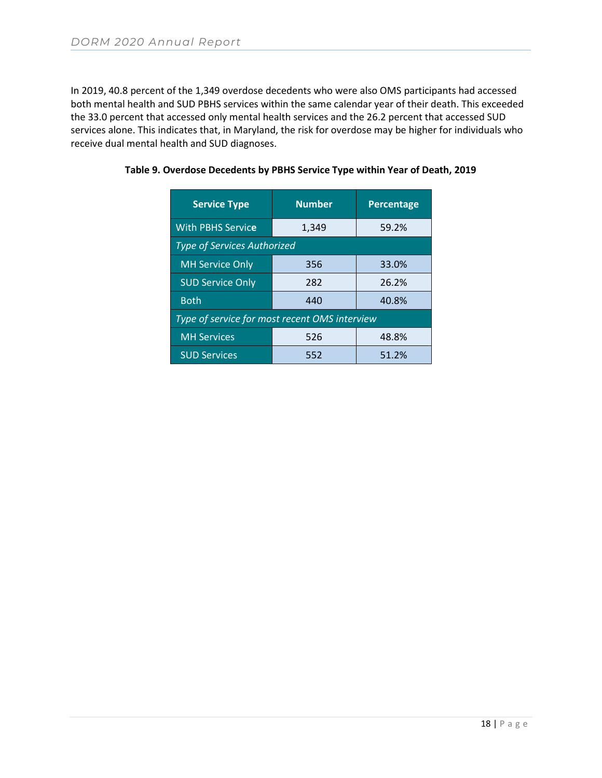In 2019, 40.8 percent of the 1,349 overdose decedents who were also OMS participants had accessed both mental health and SUD PBHS services within the same calendar year of their death. This exceeded the 33.0 percent that accessed only mental health services and the 26.2 percent that accessed SUD services alone. This indicates that, in Maryland, the risk for overdose may be higher for individuals who receive dual mental health and SUD diagnoses.

| <b>Service Type</b>                           | <b>Number</b> | <b>Percentage</b> |  |  |  |  |
|-----------------------------------------------|---------------|-------------------|--|--|--|--|
| <b>With PBHS Service</b>                      | 1,349         | 59.2%             |  |  |  |  |
| <b>Type of Services Authorized</b>            |               |                   |  |  |  |  |
| <b>MH Service Only</b>                        | 356           | 33.0%             |  |  |  |  |
| <b>SUD Service Only</b>                       | 282           | 26.2%             |  |  |  |  |
| <b>Both</b>                                   | 440           | 40.8%             |  |  |  |  |
| Type of service for most recent OMS interview |               |                   |  |  |  |  |
| <b>MH Services</b>                            | 526           | 48.8%             |  |  |  |  |
| <b>SUD Services</b>                           | 552           | 51.2%             |  |  |  |  |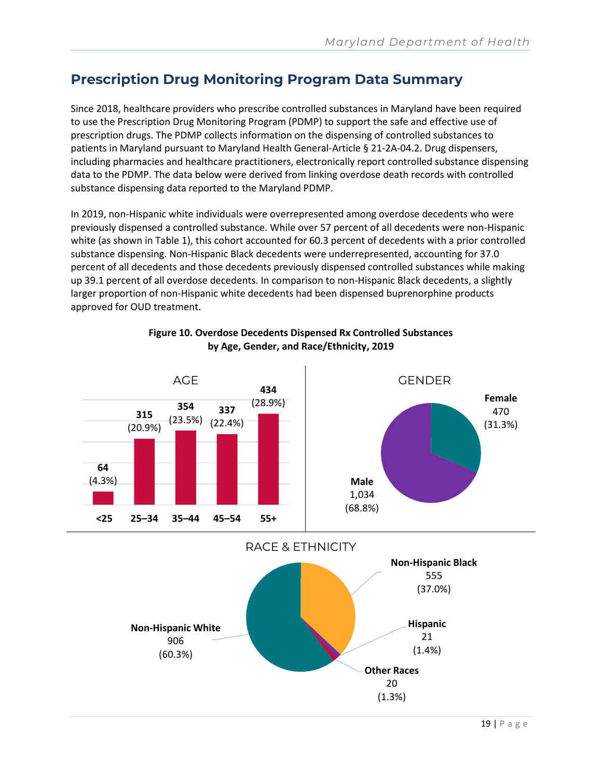# <span id="page-18-0"></span>**Prescription Drug Monitoring Program Data Summary**

Since 2018, healthcare providers who prescribe controlled substances in Maryland have been required to use the Prescription Drug Monitoring Program (PDMP) to support the safe and effective use of prescription drugs. The PDMP collects information on the dispensing of controlled substances to patients in Maryland pursuant to Maryland Health General-Article § 21-2A-04.2. Drug dispensers, including pharmacies and healthcare practitioners, electronically report controlled substance dispensing data to the PDMP. The data below were derived from linking overdose death records with controlled substance dispensing data reported to the Maryland PDMP.

In 2019, non-Hispanic white individuals were overrepresented among overdose decedents who were previously dispensed a controlled substance. While over 57 percent of all decedents were non-Hispanic white (as shown in Table 1), this cohort accounted for 60.3 percent of decedents with a prior controlled substance dispensing. Non-Hispanic Black decedents were underrepresented, accounting for 37.0 percent of all decedents and those decedents previously dispensed controlled substances while making up 39.1 percent of all overdose decedents. In comparison to non-Hispanic Black decedents, a slightly larger proportion of non-Hispanic white decedents had been dispensed buprenorphine products approved for OUD treatment.



#### **Figure 10. Overdose Decedents Dispensed Rx Controlled Substances by Age, Gender, and Race/Ethnicity, 2019**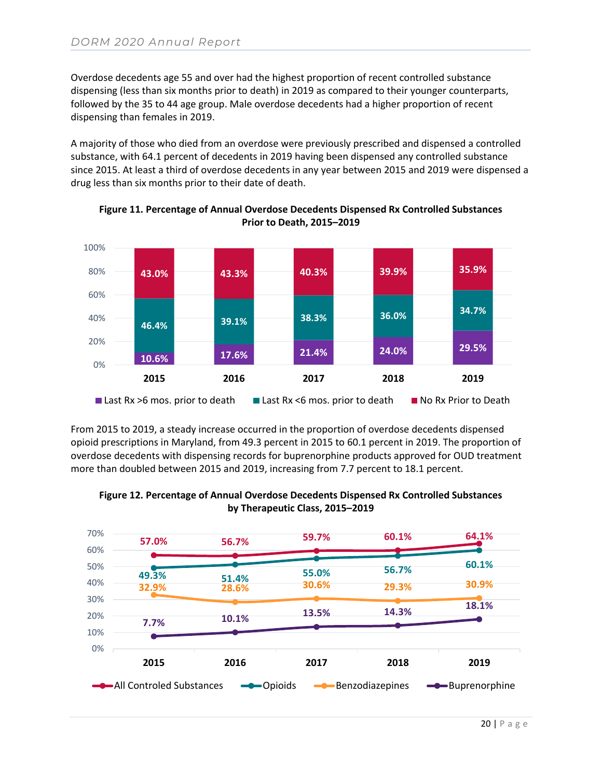Overdose decedents age 55 and over had the highest proportion of recent controlled substance dispensing (less than six months prior to death) in 2019 as compared to their younger counterparts, followed by the 35 to 44 age group. Male overdose decedents had a higher proportion of recent dispensing than females in 2019.

A majority of those who died from an overdose were previously prescribed and dispensed a controlled substance, with 64.1 percent of decedents in 2019 having been dispensed any controlled substance since 2015. At least a third of overdose decedents in any year between 2015 and 2019 were dispensed a drug less than six months prior to their date of death.



**Figure 11. Percentage of Annual Overdose Decedents Dispensed Rx Controlled Substances Prior to Death, 2015–2019**

From 2015 to 2019, a steady increase occurred in the proportion of overdose decedents dispensed opioid prescriptions in Maryland, from 49.3 percent in 2015 to 60.1 percent in 2019. The proportion of overdose decedents with dispensing records for buprenorphine products approved for OUD treatment more than doubled between 2015 and 2019, increasing from 7.7 percent to 18.1 percent.



**Figure 12. Percentage of Annual Overdose Decedents Dispensed Rx Controlled Substances by Therapeutic Class, 2015–2019**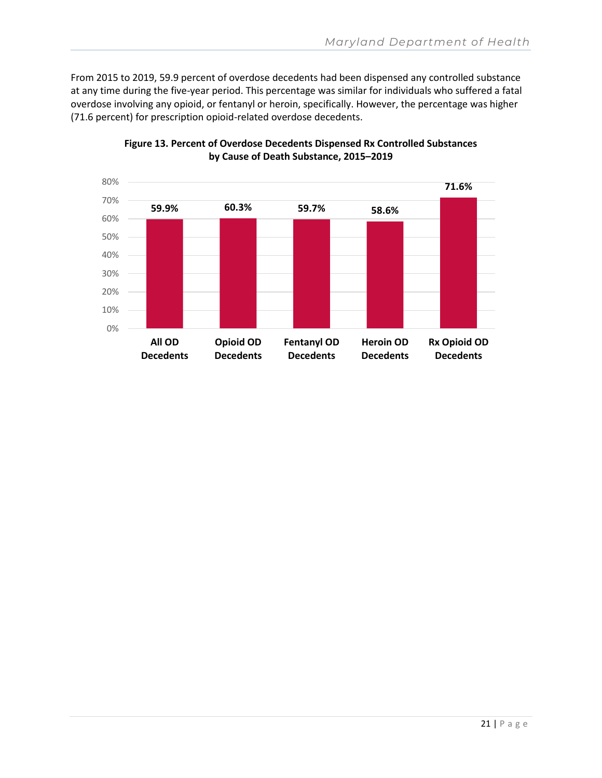From 2015 to 2019, 59.9 percent of overdose decedents had been dispensed any controlled substance at any time during the five-year period. This percentage was similar for individuals who suffered a fatal overdose involving any opioid, or fentanyl or heroin, specifically. However, the percentage was higher (71.6 percent) for prescription opioid-related overdose decedents.



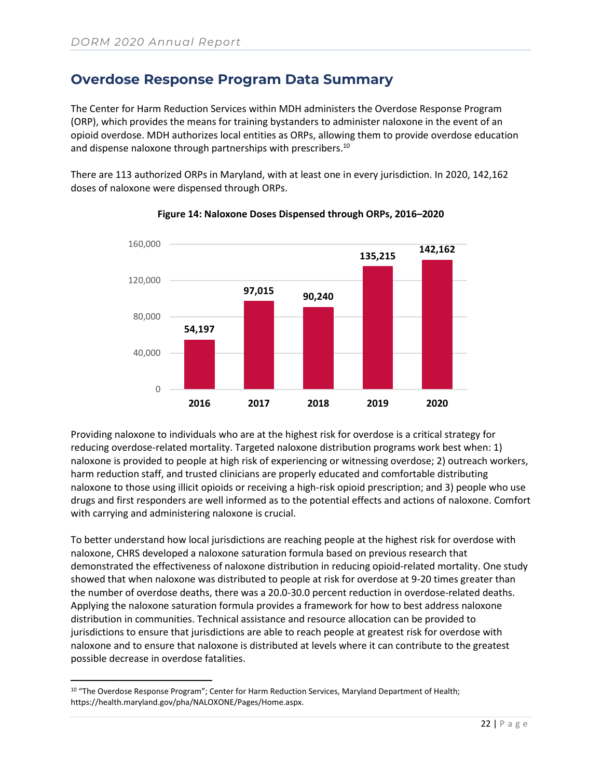### <span id="page-21-0"></span>**Overdose Response Program Data Summary**

The Center for Harm Reduction Services within MDH administers the Overdose Response Program (ORP), which provides the means for training bystanders to administer naloxone in the event of an opioid overdose. MDH authorizes local entities as ORPs, allowing them to provide overdose education and dispense naloxone through partnerships with prescribers.<sup>10</sup>

There are 113 authorized ORPs in Maryland, with at least one in every jurisdiction. In 2020, 142,162 doses of naloxone were dispensed through ORPs.



**Figure 14: Naloxone Doses Dispensed through ORPs, 2016–2020**

Providing naloxone to individuals who are at the highest risk for overdose is a critical strategy for reducing overdose-related mortality. Targeted naloxone distribution programs work best when: 1) naloxone is provided to people at high risk of experiencing or witnessing overdose; 2) outreach workers, harm reduction staff, and trusted clinicians are properly educated and comfortable distributing naloxone to those using illicit opioids or receiving a high-risk opioid prescription; and 3) people who use drugs and first responders are well informed as to the potential effects and actions of naloxone. Comfort with carrying and administering naloxone is crucial.

To better understand how local jurisdictions are reaching people at the highest risk for overdose with naloxone, CHRS developed a naloxone saturation formula based on previous research that demonstrated the effectiveness of naloxone distribution in reducing opioid-related mortality. One study showed that when naloxone was distributed to people at risk for overdose at 9-20 times greater than the number of overdose deaths, there was a 20.0-30.0 percent reduction in overdose-related deaths. Applying the naloxone saturation formula provides a framework for how to best address naloxone distribution in communities. Technical assistance and resource allocation can be provided to jurisdictions to ensure that jurisdictions are able to reach people at greatest risk for overdose with naloxone and to ensure that naloxone is distributed at levels where it can contribute to the greatest possible decrease in overdose fatalities.

<sup>10 &</sup>quot;The Overdose Response Program"; Center for Harm Reduction Services, Maryland Department of Health; https://health.maryland.gov/pha/NALOXONE/Pages/Home.aspx.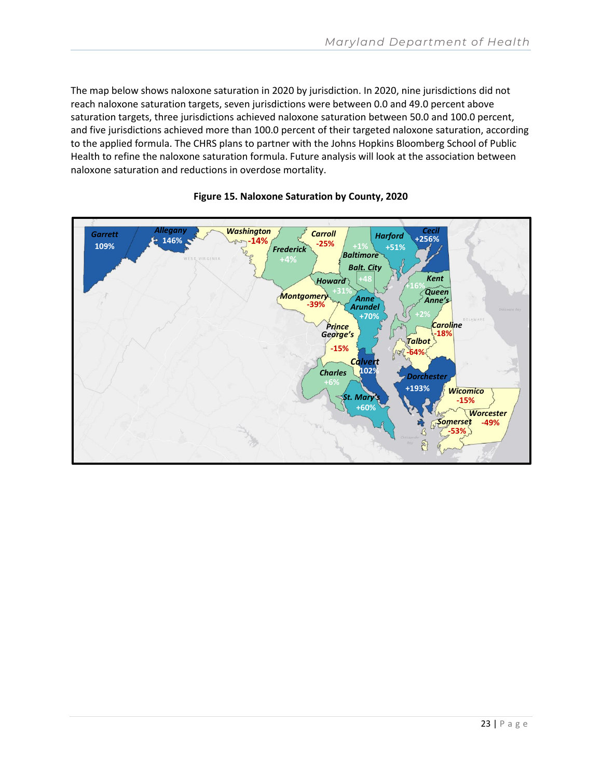The map below shows naloxone saturation in 2020 by jurisdiction. In 2020, nine jurisdictions did not reach naloxone saturation targets, seven jurisdictions were between 0.0 and 49.0 percent above saturation targets, three jurisdictions achieved naloxone saturation between 50.0 and 100.0 percent, and five jurisdictions achieved more than 100.0 percent of their targeted naloxone saturation, according to the applied formula. The CHRS plans to partner with the Johns Hopkins Bloomberg School of Public Health to refine the naloxone saturation formula. Future analysis will look at the association between naloxone saturation and reductions in overdose mortality.



#### **Figure 15. Naloxone Saturation by County, 2020**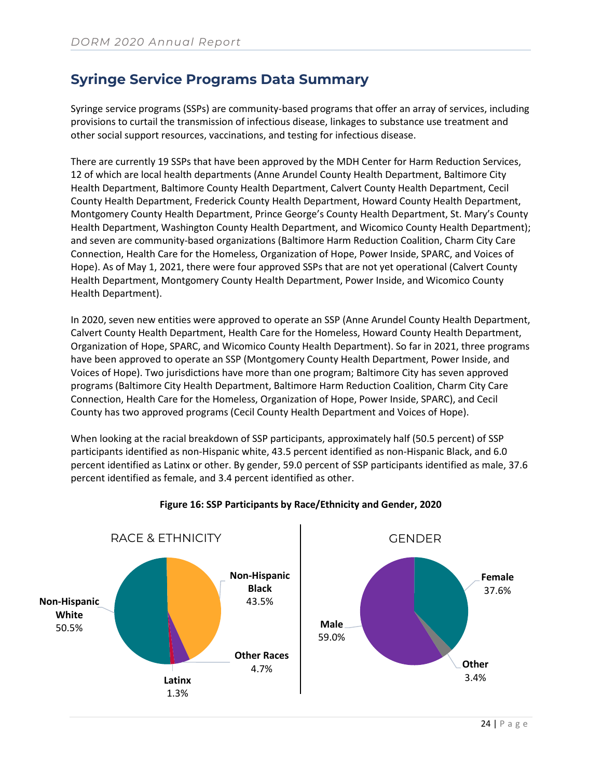## <span id="page-23-0"></span>**Syringe Service Programs Data Summary**

Syringe service programs (SSPs) are community-based programs that offer an array of services, including provisions to curtail the transmission of infectious disease, linkages to substance use treatment and other social support resources, vaccinations, and testing for infectious disease.

There are currently 19 SSPs that have been approved by the MDH Center for Harm Reduction Services, 12 of which are local health departments (Anne Arundel County Health Department, Baltimore City Health Department, Baltimore County Health Department, Calvert County Health Department, Cecil County Health Department, Frederick County Health Department, Howard County Health Department, Montgomery County Health Department, Prince George's County Health Department, St. Mary's County Health Department, Washington County Health Department, and Wicomico County Health Department); and seven are community-based organizations (Baltimore Harm Reduction Coalition, Charm City Care Connection, Health Care for the Homeless, Organization of Hope, Power Inside, SPARC, and Voices of Hope). As of May 1, 2021, there were four approved SSPs that are not yet operational (Calvert County Health Department, Montgomery County Health Department, Power Inside, and Wicomico County Health Department).

In 2020, seven new entities were approved to operate an SSP (Anne Arundel County Health Department, Calvert County Health Department, Health Care for the Homeless, Howard County Health Department, Organization of Hope, SPARC, and Wicomico County Health Department). So far in 2021, three programs have been approved to operate an SSP (Montgomery County Health Department, Power Inside, and Voices of Hope). Two jurisdictions have more than one program; Baltimore City has seven approved programs (Baltimore City Health Department, Baltimore Harm Reduction Coalition, Charm City Care Connection, Health Care for the Homeless, Organization of Hope, Power Inside, SPARC), and Cecil County has two approved programs (Cecil County Health Department and Voices of Hope).

When looking at the racial breakdown of SSP participants, approximately half (50.5 percent) of SSP participants identified as non-Hispanic white, 43.5 percent identified as non-Hispanic Black, and 6.0 percent identified as Latinx or other. By gender, 59.0 percent of SSP participants identified as male, 37.6 percent identified as female, and 3.4 percent identified as other.



#### **Figure 16: SSP Participants by Race/Ethnicity and Gender, 2020**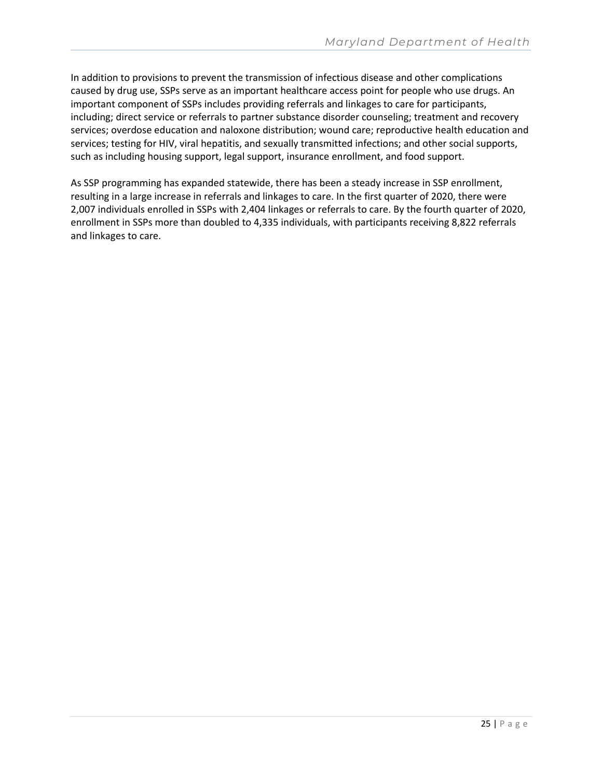In addition to provisions to prevent the transmission of infectious disease and other complications caused by drug use, SSPs serve as an important healthcare access point for people who use drugs. An important component of SSPs includes providing referrals and linkages to care for participants, including; direct service or referrals to partner substance disorder counseling; treatment and recovery services; overdose education and naloxone distribution; wound care; reproductive health education and services; testing for HIV, viral hepatitis, and sexually transmitted infections; and other social supports, such as including housing support, legal support, insurance enrollment, and food support.

As SSP programming has expanded statewide, there has been a steady increase in SSP enrollment, resulting in a large increase in referrals and linkages to care. In the first quarter of 2020, there were 2,007 individuals enrolled in SSPs with 2,404 linkages or referrals to care. By the fourth quarter of 2020, enrollment in SSPs more than doubled to 4,335 individuals, with participants receiving 8,822 referrals and linkages to care.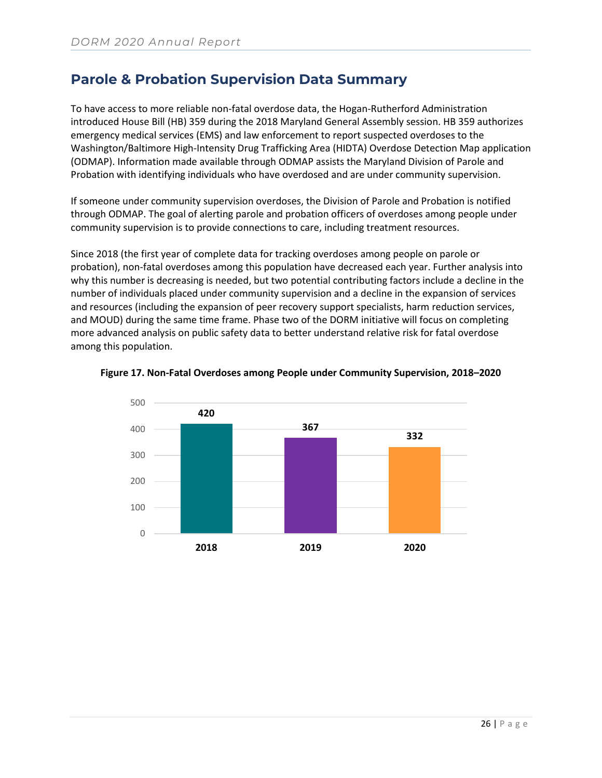### <span id="page-25-0"></span>**Parole & Probation Supervision Data Summary**

To have access to more reliable non-fatal overdose data, the Hogan-Rutherford Administration introduced House Bill (HB) 359 during the 2018 Maryland General Assembly session. HB 359 authorizes emergency medical services (EMS) and law enforcement to report suspected overdoses to the Washington/Baltimore High-Intensity Drug Trafficking Area (HIDTA) Overdose Detection Map application (ODMAP). Information made available through ODMAP assists the Maryland Division of Parole and Probation with identifying individuals who have overdosed and are under community supervision.

If someone under community supervision overdoses, the Division of Parole and Probation is notified through ODMAP. The goal of alerting parole and probation officers of overdoses among people under community supervision is to provide connections to care, including treatment resources.

Since 2018 (the first year of complete data for tracking overdoses among people on parole or probation), non-fatal overdoses among this population have decreased each year. Further analysis into why this number is decreasing is needed, but two potential contributing factors include a decline in the number of individuals placed under community supervision and a decline in the expansion of services and resources (including the expansion of peer recovery support specialists, harm reduction services, and MOUD) during the same time frame. Phase two of the DORM initiative will focus on completing more advanced analysis on public safety data to better understand relative risk for fatal overdose among this population.



#### **Figure 17. Non-Fatal Overdoses among People under Community Supervision, 2018–2020**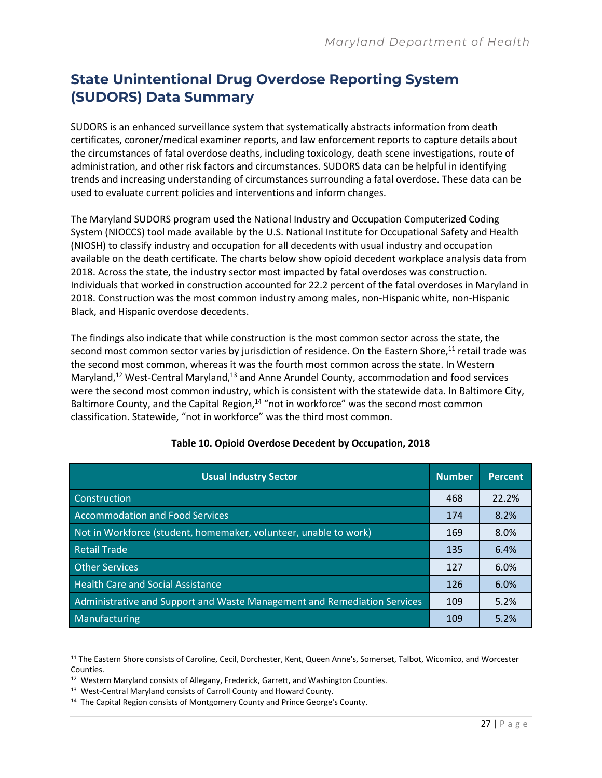# <span id="page-26-0"></span>**State Unintentional Drug Overdose Reporting System (SUDORS) Data Summary**

SUDORS is an enhanced surveillance system that systematically abstracts information from death certificates, coroner/medical examiner reports, and law enforcement reports to capture details about the circumstances of fatal overdose deaths, including toxicology, death scene investigations, route of administration, and other risk factors and circumstances. SUDORS data can be helpful in identifying trends and increasing understanding of circumstances surrounding a fatal overdose. These data can be used to evaluate current policies and interventions and inform changes.

The Maryland SUDORS program used the National Industry and Occupation Computerized Coding System (NIOCCS) tool made available by the U.S. National Institute for Occupational Safety and Health (NIOSH) to classify industry and occupation for all decedents with usual industry and occupation available on the death certificate. The charts below show opioid decedent workplace analysis data from 2018. Across the state, the industry sector most impacted by fatal overdoses was construction. Individuals that worked in construction accounted for 22.2 percent of the fatal overdoses in Maryland in 2018. Construction was the most common industry among males, non-Hispanic white, non-Hispanic Black, and Hispanic overdose decedents.

The findings also indicate that while construction is the most common sector across the state, the second most common sector varies by jurisdiction of residence. On the Eastern Shore,<sup>11</sup> retail trade was the second most common, whereas it was the fourth most common across the state. In Western Maryland,<sup>12</sup> West-Central Maryland,<sup>13</sup> and Anne Arundel County, accommodation and food services were the second most common industry, which is consistent with the statewide data. In Baltimore City, Baltimore County, and the Capital Region, $14$  "not in workforce" was the second most common classification. Statewide, "not in workforce" was the third most common.

| <b>Usual Industry Sector</b>                                             | <b>Number</b> | <b>Percent</b> |
|--------------------------------------------------------------------------|---------------|----------------|
| Construction                                                             | 468           | 22.2%          |
| <b>Accommodation and Food Services</b>                                   | 174           | 8.2%           |
| Not in Workforce (student, homemaker, volunteer, unable to work)         | 169           | 8.0%           |
| <b>Retail Trade</b>                                                      | 135           | 6.4%           |
| <b>Other Services</b>                                                    | 127           | 6.0%           |
| <b>Health Care and Social Assistance</b>                                 | 126           | 6.0%           |
| Administrative and Support and Waste Management and Remediation Services | 109           | 5.2%           |
| Manufacturing                                                            | 109           | 5.2%           |

#### **Table 10. Opioid Overdose Decedent by Occupation, 2018**

<sup>11</sup> The Eastern Shore consists of Caroline, Cecil, Dorchester, Kent, Queen Anne's, Somerset, Talbot, Wicomico, and Worcester Counties.

- <sup>13</sup> West-Central Maryland consists of Carroll County and Howard County.
- <sup>14</sup> The Capital Region consists of Montgomery County and Prince George's County.

<sup>&</sup>lt;sup>12</sup> Western Maryland consists of Allegany, Frederick, Garrett, and Washington Counties.